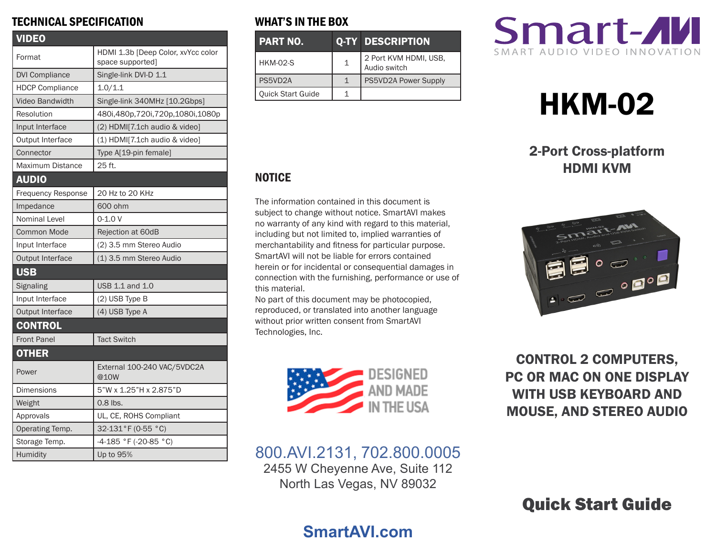### TECHNICAL SPECIFICATION

| <b>VIDEO</b>              |                                                        |  |
|---------------------------|--------------------------------------------------------|--|
| Format                    | HDMI 1.3b [Deep Color, xvYcc color<br>space supported] |  |
| <b>DVI Compliance</b>     | Single-link DVI-D 1.1                                  |  |
| <b>HDCP Compliance</b>    | 1.0/1.1                                                |  |
| <b>Video Bandwidth</b>    | Single-link 340MHz [10.2Gbps]                          |  |
| Resolution                | 480i,480p,720i,720p,1080i,1080p                        |  |
| Input Interface           | (2) HDMI[7.1ch audio & video]                          |  |
| <b>Output Interface</b>   | (1) HDMI[7.1ch audio & video]                          |  |
| Connector                 | Type A[19-pin female]                                  |  |
| Maximum Distance          | 25 ft.                                                 |  |
| <b>AUDIO</b>              |                                                        |  |
| <b>Frequency Response</b> | 20 Hz to 20 KHz                                        |  |
| Impedance                 | 600 ohm                                                |  |
| Nominal Level             | $0 - 1.0 V$                                            |  |
| <b>Common Mode</b>        | Rejection at 60dB                                      |  |
| Input Interface           | (2) 3.5 mm Stereo Audio                                |  |
| Output Interface          | (1) 3.5 mm Stereo Audio                                |  |
| <b>USB</b>                |                                                        |  |
| Signaling                 | USB 1.1 and 1.0                                        |  |
| Input Interface           | (2) USB Type B                                         |  |
| Output Interface          | (4) USB Type A                                         |  |
| <b>CONTROL</b>            |                                                        |  |
| <b>Front Panel</b>        | <b>Tact Switch</b>                                     |  |
| <b>OTHER</b>              |                                                        |  |
| Power                     | External 100-240 VAC/5VDC2A<br>@10W                    |  |
| Dimensions                | 5"W x 1.25"H x 2.875"D                                 |  |
| Weight                    | $0.8$ lbs.                                             |  |
| Approvals                 | UL, CE, ROHS Compliant                                 |  |
| Operating Temp.           | 32-131°F (0-55 °C)                                     |  |
| Storage Temp.             | -4-185 °F (-20-85 °C)                                  |  |
| Humidity                  | Up to 95%                                              |  |

## WHAT'S IN THE BOX

| <b>PART NO.</b>          |   | <b>Q-TY DESCRIPTION</b>               |
|--------------------------|---|---------------------------------------|
| <b>HKM-02-S</b>          | 1 | 2 Port KVM HDMI, USB,<br>Audio switch |
| PS5VD2A                  |   | PS5VD2A Power Supply                  |
| <b>Quick Start Guide</b> |   |                                       |



# HKM-02

## 2-Port Cross-platform HDMI KVM



# **NOTICE**

The information contained in this document is subject to change without notice. SmartAVI makes no warranty of any kind with regard to this material, including but not limited to, implied warranties of merchantability and fitness for particular purpose. SmartAVI will not be liable for errors contained herein or for incidental or consequential damages in connection with the furnishing, performance or use of this material.

No part of this document may be photocopied, reproduced, or translated into another language without prior written consent from SmartAVI Technologies, Inc.



CONTROL 2 COMPUTERS, PC OR MAC ON ONE DISPLAY WITH USB KEYBOARD AND MOUSE, AND STEREO AUDIO

# 800.AVI.2131, 702.800.0005

2455 W Cheyenne Ave, Suite 112 North Las Vegas, NV 89032

# Quick Start Guide

# **SmartAVI.com**